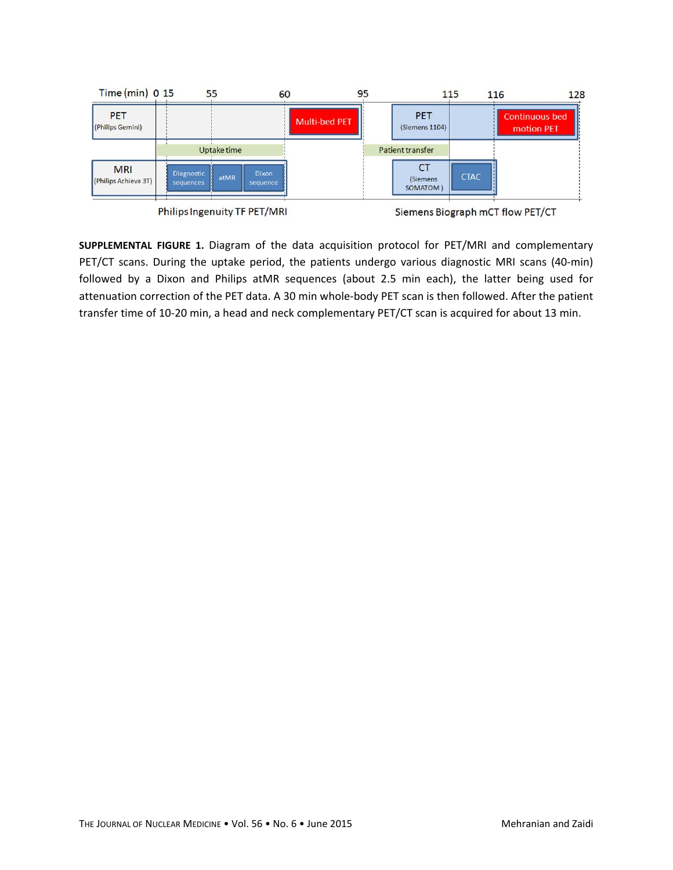

**SUPPLEMENTAL FIGURE 1.** Diagram of the data acquisition protocol for PET/MRI and complementary PET/CT scans. During the uptake period, the patients undergo various diagnostic MRI scans (40‐min) followed by a Dixon and Philips atMR sequences (about 2.5 min each), the latter being used for attenuation correction of the PET data. A 30 min whole-body PET scan is then followed. After the patient transfer time of 10‐20 min, a head and neck complementary PET/CT scan is acquired for about 13 min.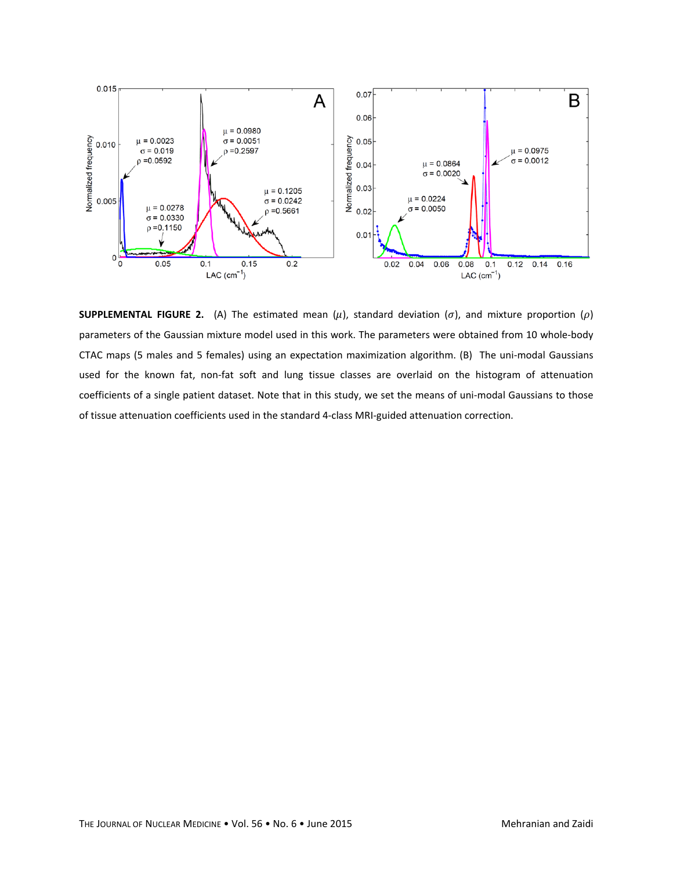

**SUPPLEMENTAL FIGURE 2.** (A) The estimated mean  $(\mu)$ , standard deviation  $(\sigma)$ , and mixture proportion  $(\rho)$ parameters of the Gaussian mixture model used in this work. The parameters were obtained from 10 whole‐body CTAC maps (5 males and 5 females) using an expectation maximization algorithm. (B) The uni-modal Gaussians used for the known fat, non-fat soft and lung tissue classes are overlaid on the histogram of attenuation coefficients of a single patient dataset. Note that in this study, we set the means of uni‐modal Gaussians to those of tissue attenuation coefficients used in the standard 4‐class MRI‐guided attenuation correction.